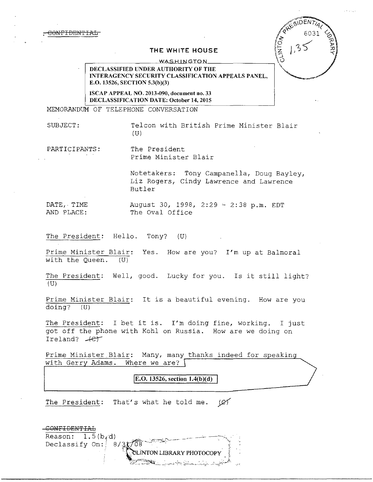## **THE WHITE HOUSE**

**WASHINGTON** 

DECLASSIFIED UNDER AUTHORITY OF THE INTERAGENCY SECURITY CLASSIFICATION APPEALS PANEL , E.0.13526, SECTION 5.3(b)(3)

ISCAP APPEAL NO. 2013-090, document no. 33 DECLASSIFICATION DATE: October **14,** 2015

MEMORANDUM OF TELEPHONE CONVERSATION

SUBJECT: Telcon with British Prime Minister Blair (U)

**VOINTO** 

PARTICIPANTS: The President

Prime Minister Blair

Notetakers: Tony Campanella, Doug Bayley, Liz Rogers, Cindy Lawrence and Lawrence Butler

DATE,- TIME August 30, 1998, 2:29 ~ 2:38 p.m. EDT AND PLACE: The Oval Office

The President: Hello. Tony? (U)

Prime Minister Blair: Yes. How are you? I'm up at Balmoral with the Queen. (U)

The President: Well, good. Lucky for you. Is it still light?  $(U)$ 

Prime Minister Blair: It is a beautiful evening. How are you doing? (U)

The President: I bet it is. I'm doing fine, working. I just got off the phone with Kohl on Russia. How are we doing on Ireland?  $+e^+$ 

Prime Minister Blair: Many, many thanks indeed for speaking with Gerry Adams. Where we are?  $\lceil$ 

**E.O. 13526, section 1.4(b)(d)** 

The President: That's what he told me.  $(X)$ 

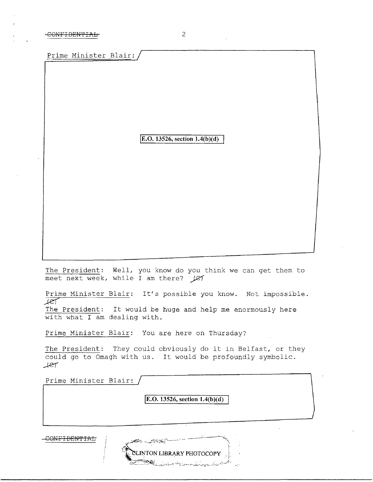Prime Minister Blair:

 $\boxed{E.O. 13526, section 1.4(b)(d)}$ 

The President: Well, you know do you think we can get them to meet next week, while I am there? (e)

Prime Minister Blair: It's possible you know. Not impossible.  $F$ 

The President: It would be huge and help me enormously here with what I am dealing with.

Prime Minister Blair: You are here on Thursday?

الخصص

The President: They could obviously do it in Belfast, or they could go to Omagh with us. It would be profoundly symbolic.  $#er$ 

Prime Minister Blair:

**IE.O. 13526, section 1.4(b)(d)** 

SLINTON LIBRARY PHOTOCOPY

CONFIDENTIAL